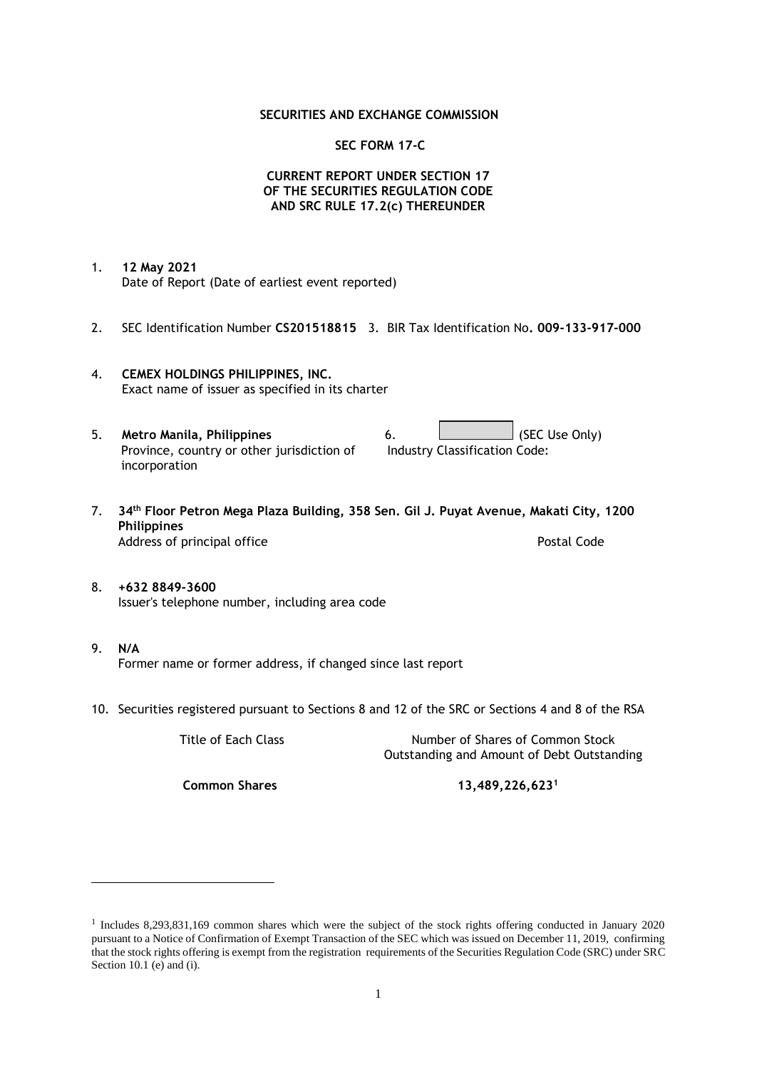### **SECURITIES AND EXCHANGE COMMISSION**

### **SEC FORM 17-C**

## **CURRENT REPORT UNDER SECTION 17 OF THE SECURITIES REGULATION CODE AND SRC RULE 17.2(c) THEREUNDER**

- 1. **12 May 2021** Date of Report (Date of earliest event reported)
- 2. SEC Identification Number **CS201518815** 3. BIR Tax Identification No**. 009-133-917-000**
- 4. **CEMEX HOLDINGS PHILIPPINES, INC.** Exact name of issuer as specified in its charter
- 5. **Metro Manila, Philippines** 6. **Consumers 6.** (SEC Use Only) Province, country or other jurisdiction of incorporation Industry Classification Code:
- 7. **34th Floor Petron Mega Plaza Building, 358 Sen. Gil J. Puyat Avenue, Makati City, 1200 Philippines** Address of principal office **Postal Code** Postal Code
- 8. **+632 8849-3600** Issuer's telephone number, including area code
- 9. **N/A** Former name or former address, if changed since last report
- 10. Securities registered pursuant to Sections 8 and 12 of the SRC or Sections 4 and 8 of the RSA

Title of Each Class Number of Shares of Common Stock Outstanding and Amount of Debt Outstanding

**Common Shares 13,489,226,623<sup>1</sup>**

<sup>1</sup> Includes 8,293,831,169 common shares which were the subject of the stock rights offering conducted in January 2020 pursuant to a Notice of Confirmation of Exempt Transaction of the SEC which was issued on December 11, 2019, confirming that the stock rights offering is exempt from the registration requirements of the Securities Regulation Code (SRC) under SRC Section 10.1 (e) and (i).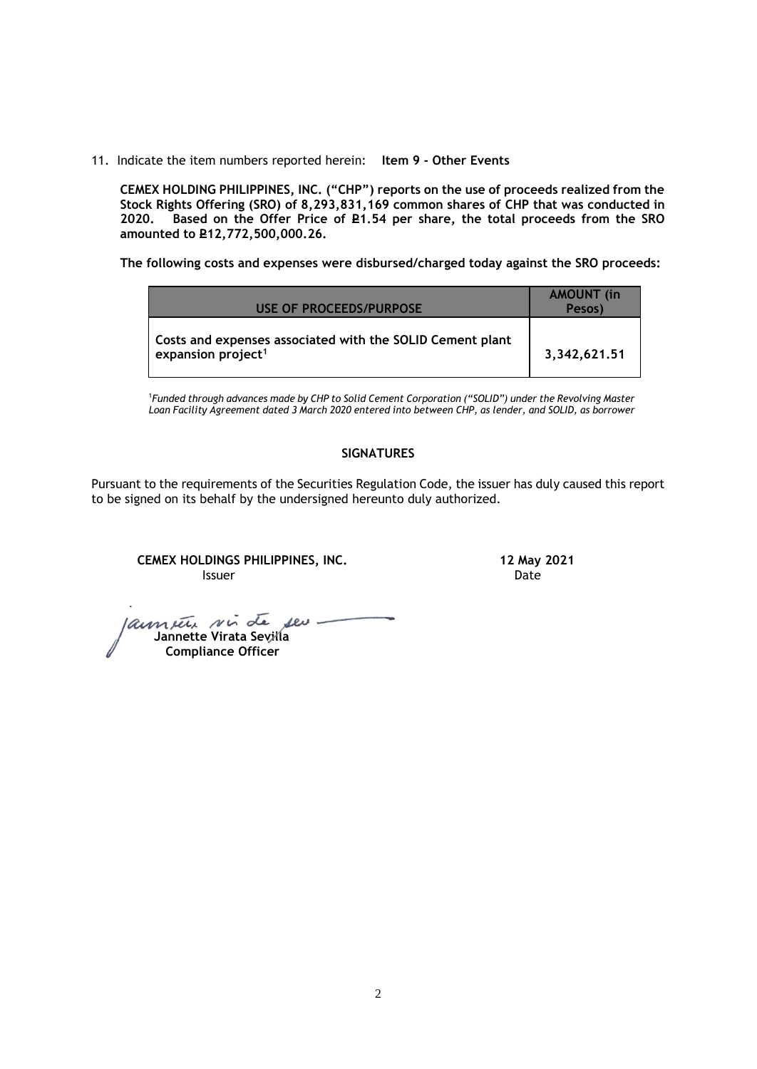11. Indicate the item numbers reported herein: **Item 9 - Other Events**

**CEMEX HOLDING PHILIPPINES, INC. ("CHP") reports on the use of proceeds realized from the Stock Rights Offering (SRO) of 8,293,831,169 common shares of CHP that was conducted in**  Based on the Offer Price of £1.54 per share, the total proceeds from the SRO **amounted to P12,772,500,000.26.** 

**The following costs and expenses were disbursed/charged today against the SRO proceeds:**

| USE OF PROCEEDS/PURPOSE                                                                     | <b>AMOUNT</b> (in<br>Pesos) |
|---------------------------------------------------------------------------------------------|-----------------------------|
| Costs and expenses associated with the SOLID Cement plant<br>expansion project <sup>1</sup> | 3,342,621.51                |

<sup>1</sup>*Funded through advances made by CHP to Solid Cement Corporation ("SOLID") under the Revolving Master Loan Facility Agreement dated 3 March 2020 entered into between CHP, as lender, and SOLID, as borrower*

## **SIGNATURES**

Pursuant to the requirements of the Securities Regulation Code, the issuer has duly caused this report to be signed on its behalf by the undersigned hereunto duly authorized.

**CEMEX HOLDINGS PHILIPPINES, INC. 12 May 2021 Issuer Community Community Community** Community Community Community Community Community Community Community Comm

laument sin de seu- **Jannette Virata Sevilla Compliance Officer**